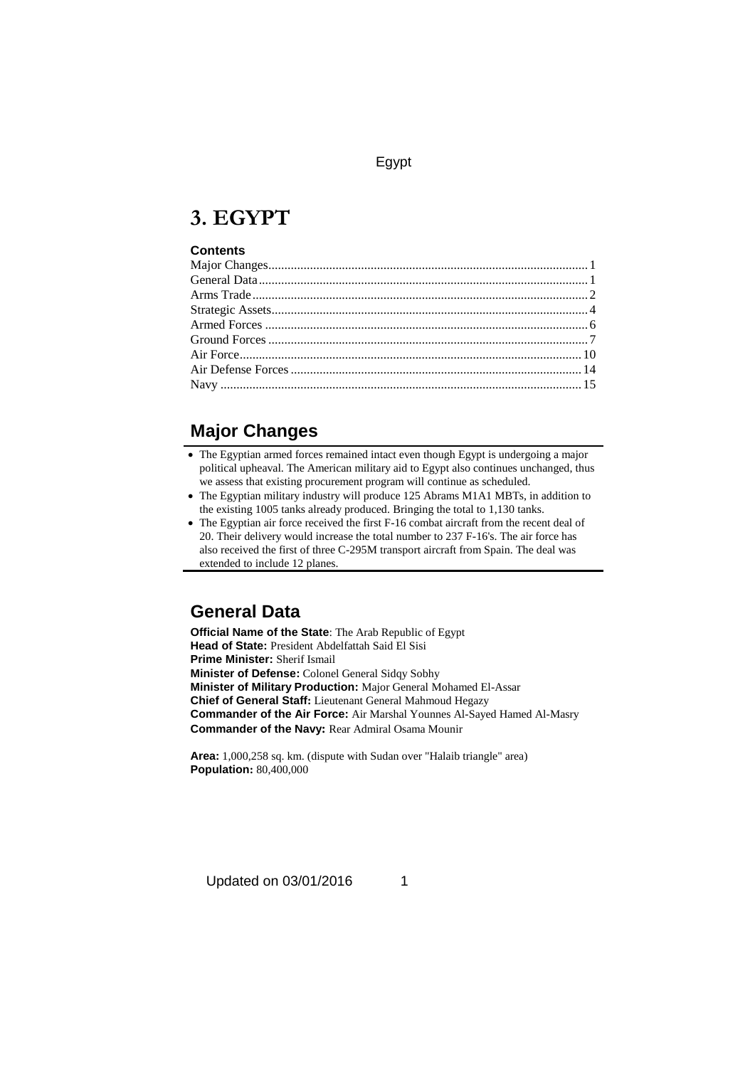# **3. EGYPT**

#### **Contents**

## **Major Changes**

- The Egyptian armed forces remained intact even though Egypt is undergoing a major political upheaval. The American military aid to Egypt also continues unchanged, thus we assess that existing procurement program will continue as scheduled.
- The Egyptian military industry will produce 125 Abrams M1A1 MBTs, in addition to the existing 1005 tanks already produced. Bringing the total to 1,130 tanks.
- The Egyptian air force received the first F-16 combat aircraft from the recent deal of 20. Their delivery would increase the total number to 237 F-16's. The air force has also received the first of three C-295M transport aircraft from Spain. The deal was extended to include 12 planes.

## **General Data**

**Official Name of the State**: The Arab Republic of Egypt **Head of State:** President Abdelfattah Said El Sisi **Prime Minister:** Sherif Ismail **Minister of Defense:** Colonel General Sidqy Sobhy **Minister of Military Production:** Major General Mohamed El-Assar **Chief of General Staff:** Lieutenant General Mahmoud Hegazy **Commander of the Air Force:** Air Marshal Younnes Al-Sayed Hamed Al-Masry **Commander of the Navy:** Rear Admiral Osama Mounir

**Area:** 1,000,258 sq. km. (dispute with Sudan over "Halaib triangle" area) **Population:** 80,400,000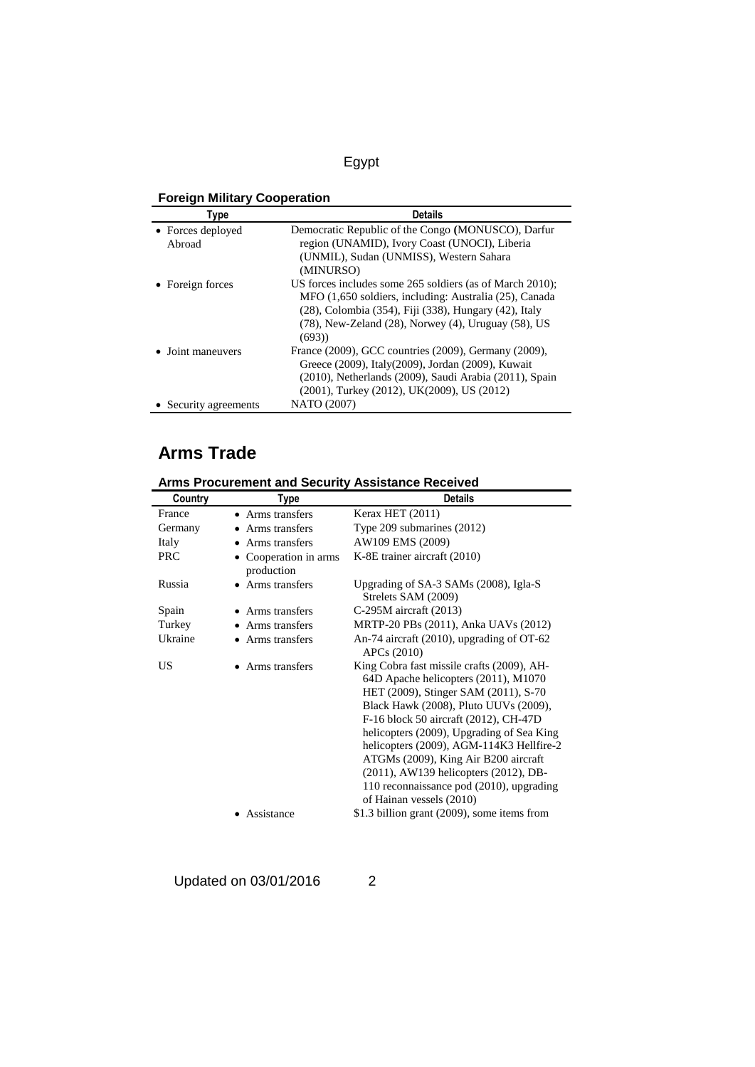### **Foreign Military Cooperation**

| Type                  | <b>Details</b>                                                  |
|-----------------------|-----------------------------------------------------------------|
| • Forces deployed     | Democratic Republic of the Congo (MONUSCO), Darfur              |
| Abroad                | region (UNAMID), Ivory Coast (UNOCI), Liberia                   |
|                       | (UNMIL), Sudan (UNMISS), Western Sahara                         |
|                       | (MINURSO)                                                       |
| • Foreign forces      | US forces includes some 265 soldiers (as of March 2010);        |
|                       | MFO (1,650 soldiers, including: Australia (25), Canada          |
|                       | (28), Colombia (354), Fiji (338), Hungary (42), Italy           |
|                       | $(78)$ , New-Zeland $(28)$ , Norwey $(4)$ , Uruguay $(58)$ , US |
|                       | (693)                                                           |
| • Joint maneuvers     | France (2009), GCC countries (2009), Germany (2009),            |
|                       | Greece (2009), Italy(2009), Jordan (2009), Kuwait               |
|                       | (2010), Netherlands (2009), Saudi Arabia (2011), Spain          |
|                       | (2001), Turkey (2012), UK(2009), US (2012)                      |
| • Security agreements | NATO (2007)                                                     |

## **Arms Trade**

| ATTIIS FTUCULERIIGIIL ANU JECULILY ASSISLATICE NECERVEU |                                   |                                                                                                                                                                                                                                                                                                                                                                                                                                                                |  |
|---------------------------------------------------------|-----------------------------------|----------------------------------------------------------------------------------------------------------------------------------------------------------------------------------------------------------------------------------------------------------------------------------------------------------------------------------------------------------------------------------------------------------------------------------------------------------------|--|
| Country                                                 | Type                              | <b>Details</b>                                                                                                                                                                                                                                                                                                                                                                                                                                                 |  |
| France                                                  | • Arms transfers                  | Kerax HET (2011)                                                                                                                                                                                                                                                                                                                                                                                                                                               |  |
| Germany                                                 | • Arms transfers                  | Type $209$ submarines $(2012)$                                                                                                                                                                                                                                                                                                                                                                                                                                 |  |
| Italy                                                   | • Arms transfers                  | AW109 EMS (2009)                                                                                                                                                                                                                                                                                                                                                                                                                                               |  |
| <b>PRC</b>                                              | Cooperation in arms<br>production | K-8E trainer aircraft (2010)                                                                                                                                                                                                                                                                                                                                                                                                                                   |  |
| Russia                                                  | • Arms transfers                  | Upgrading of SA-3 SAMs (2008), Igla-S<br>Strelets SAM (2009)                                                                                                                                                                                                                                                                                                                                                                                                   |  |
| Spain                                                   | • Arms transfers                  | $C-295M$ aircraft (2013)                                                                                                                                                                                                                                                                                                                                                                                                                                       |  |
| Turkey                                                  | • Arms transfers                  | MRTP-20 PBs (2011), Anka UAVs (2012)                                                                                                                                                                                                                                                                                                                                                                                                                           |  |
| Ukraine                                                 | • Arms transfers                  | An-74 aircraft $(2010)$ , upgrading of OT-62<br>APC <sub>s</sub> (2010)                                                                                                                                                                                                                                                                                                                                                                                        |  |
| US                                                      | • Arms transfers                  | King Cobra fast missile crafts (2009), AH-<br>64D Apache helicopters (2011), M1070<br>HET (2009), Stinger SAM (2011), S-70<br>Black Hawk (2008), Pluto UUVs (2009),<br>F-16 block 50 aircraft (2012), CH-47D<br>helicopters (2009), Upgrading of Sea King<br>helicopters (2009), AGM-114K3 Hellfire-2<br>ATGMs (2009), King Air B200 aircraft<br>(2011), AW139 helicopters (2012), DB-<br>110 reconnaissance pod (2010), upgrading<br>of Hainan vessels (2010) |  |
|                                                         | Assistance                        | \$1.3 billion grant (2009), some items from                                                                                                                                                                                                                                                                                                                                                                                                                    |  |

**Arms Procurement and Security Assistance Received**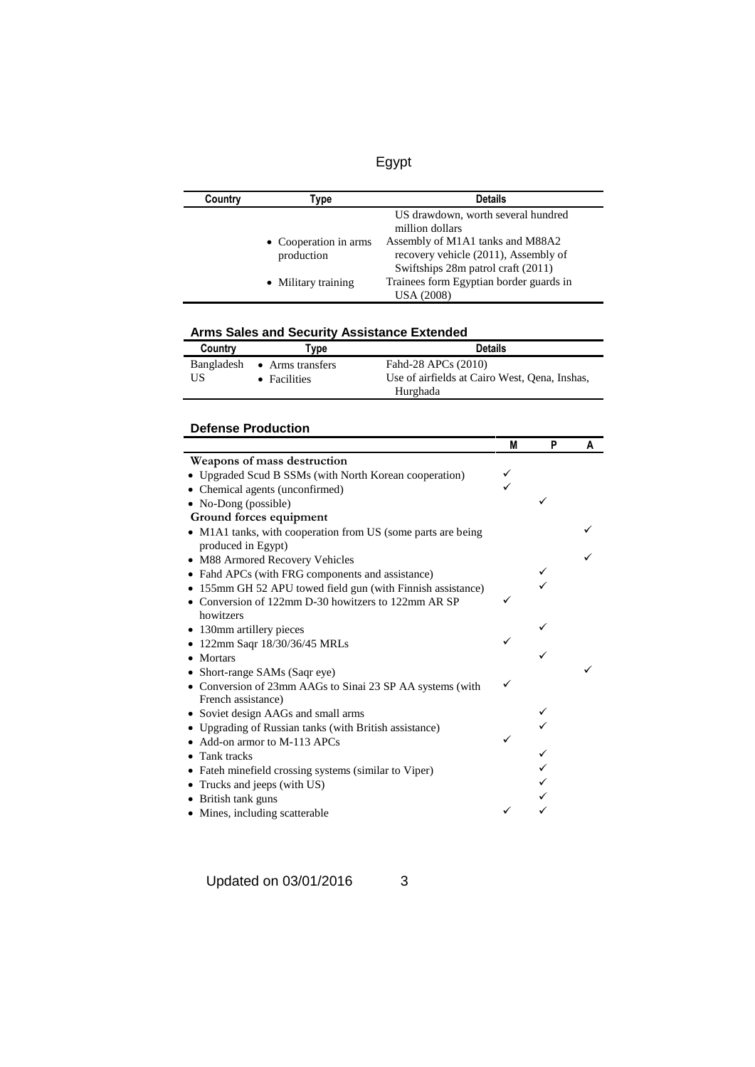| Country | [ype                                | <b>Details</b>                                                                                                 |
|---------|-------------------------------------|----------------------------------------------------------------------------------------------------------------|
|         |                                     | US drawdown, worth several hundred<br>million dollars                                                          |
|         | • Cooperation in arms<br>production | Assembly of M1A1 tanks and M88A2<br>recovery vehicle (2011), Assembly of<br>Swiftships 28m patrol craft (2011) |
|         | • Military training                 | Trainees form Egyptian border guards in<br><b>USA (2008)</b>                                                   |

### **Arms Sales and Security Assistance Extended**

| Country | Type                        | <b>Details</b>                                |
|---------|-----------------------------|-----------------------------------------------|
|         | Bangladesh • Arms transfers | Fahd-28 APCs (2010)                           |
| US      | $\bullet$ Facilities        | Use of airfields at Cairo West, Oena, Inshas, |
|         |                             | Hurghada                                      |

### **Defense Production**

|                                                              | M | P | A |
|--------------------------------------------------------------|---|---|---|
| Weapons of mass destruction                                  |   |   |   |
| • Upgraded Scud B SSMs (with North Korean cooperation)       |   |   |   |
| • Chemical agents (unconfirmed)                              |   |   |   |
| • No-Dong (possible)                                         |   |   |   |
| Ground forces equipment                                      |   |   |   |
| • M1A1 tanks, with cooperation from US (some parts are being |   |   |   |
| produced in Egypt)                                           |   |   |   |
| • M88 Armored Recovery Vehicles                              |   |   |   |
| • Fahd APCs (with FRG components and assistance)             |   |   |   |
| • 155mm GH 52 APU towed field gun (with Finnish assistance)  |   |   |   |
| • Conversion of 122mm D-30 howitzers to 122mm AR SP          | ✓ |   |   |
| howitzers                                                    |   |   |   |
| • 130mm artillery pieces                                     |   |   |   |
| • 122mm Saqr 18/30/36/45 MRLs                                |   |   |   |
| • Mortars                                                    |   |   |   |
| • Short-range SAMs (Saqr eye)                                |   |   |   |
| • Conversion of 23mm AAGs to Sinai 23 SP AA systems (with    |   |   |   |
| French assistance)                                           |   |   |   |
| • Soviet design AAGs and small arms                          |   |   |   |
| • Upgrading of Russian tanks (with British assistance)       |   |   |   |
| • Add-on armor to M-113 APCs                                 |   |   |   |
| • Tank tracks                                                |   |   |   |
| • Fateh minefield crossing systems (similar to Viper)        |   |   |   |
| • Trucks and jeeps (with US)                                 |   |   |   |
| • British tank guns                                          |   |   |   |
| • Mines, including scatterable                               |   |   |   |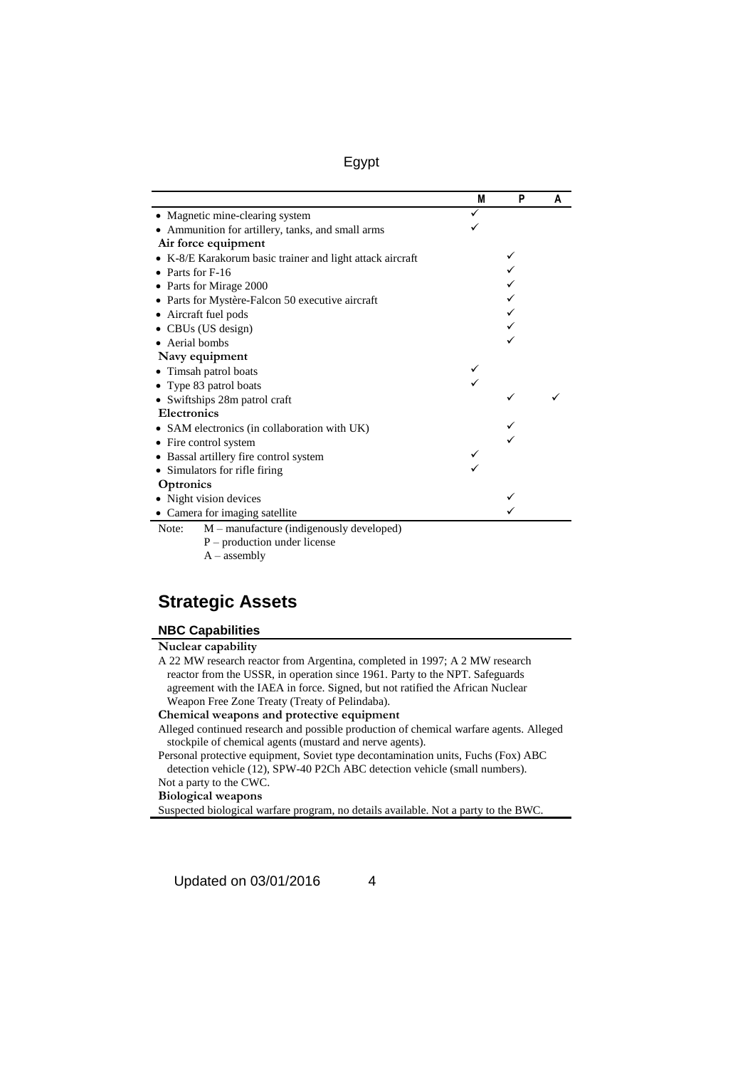|                                                           | M | P | A |
|-----------------------------------------------------------|---|---|---|
| • Magnetic mine-clearing system                           |   |   |   |
| • Ammunition for artillery, tanks, and small arms         |   |   |   |
| Air force equipment                                       |   |   |   |
| • K-8/E Karakorum basic trainer and light attack aircraft |   |   |   |
| $\bullet$ Parts for F-16                                  |   |   |   |
| • Parts for Mirage 2000                                   |   |   |   |
| • Parts for Mystère-Falcon 50 executive aircraft          |   |   |   |
| • Aircraft fuel pods                                      |   |   |   |
| • CBUs (US design)                                        |   |   |   |
| • Aerial bombs                                            |   |   |   |
| Navy equipment                                            |   |   |   |
| • Timsah patrol boats                                     |   |   |   |
| • Type 83 patrol boats                                    |   |   |   |
| • Swiftships 28m patrol craft                             |   |   |   |
| <b>Electronics</b>                                        |   |   |   |
| • SAM electronics (in collaboration with UK)              |   |   |   |
| • Fire control system                                     |   |   |   |
| • Bassal artillery fire control system                    |   |   |   |
| • Simulators for rifle firing                             |   |   |   |
| Optronics                                                 |   |   |   |
| • Night vision devices                                    |   |   |   |
| • Camera for imaging satellite                            |   |   |   |
| $M$ – manufacture (indigenously developed)<br>Note:       |   |   |   |
| $P$ – production under license                            |   |   |   |

#### $A -$ assembly

## **Strategic Assets**

#### **NBC Capabilities**

| A 22 MW research reactor from Argentina, completed in 1997; A 2 MW research    |
|--------------------------------------------------------------------------------|
| reactor from the USSR, in operation since 1961. Party to the NPT. Safeguards   |
| agreement with the IAEA in force. Signed, but not ratified the African Nuclear |
| Weapon Free Zone Treaty (Treaty of Pelindaba).                                 |
| Chamical wagness and protective covingent                                      |

#### **Chemical weapons and protective equipment**

Alleged continued research and possible production of chemical warfare agents. Alleged stockpile of chemical agents (mustard and nerve agents).

Personal protective equipment, Soviet type decontamination units, Fuchs (Fox) ABC detection vehicle (12), SPW-40 P2Ch ABC detection vehicle (small numbers).

Not a party to the CWC.

**Biological weapons**

Suspected biological warfare program, no details available. Not a party to the BWC.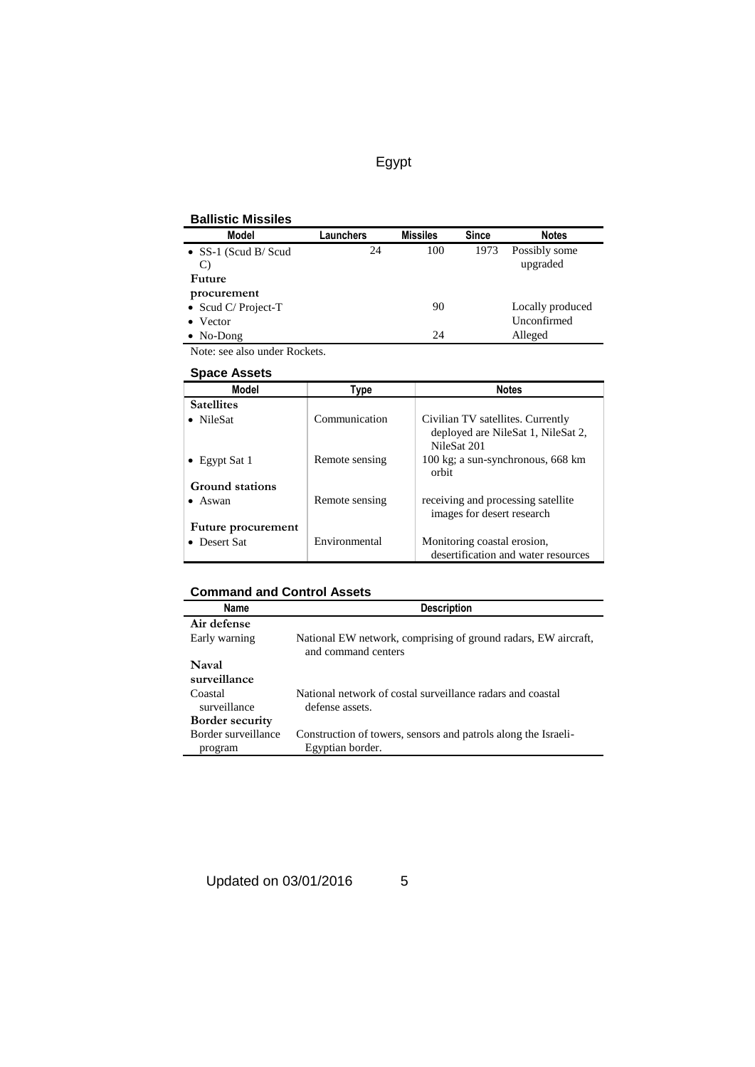### **Ballistic Missiles**

| <b>Model</b>                | aunchers. | <b>Missiles</b> | <b>Since</b> | <b>Notes</b>              |
|-----------------------------|-----------|-----------------|--------------|---------------------------|
| • $SS-1$ (Scud B/Scud<br>C) | 24        | 100             | 1973         | Possibly some<br>upgraded |
| Future                      |           |                 |              |                           |
| procurement                 |           |                 |              |                           |
| • Scud C/ Project-T         |           | 90              |              | Locally produced          |
| $\bullet$ Vector            |           |                 |              | Unconfirmed               |
| $\bullet$ No-Dong           |           | 24              |              | Alleged                   |

Note: see also under Rockets.

#### **Space Assets**

| <b>Model</b>       | Type           | <b>Notes</b>                                      |
|--------------------|----------------|---------------------------------------------------|
| <b>Satellites</b>  |                |                                                   |
| • NileSat          | Communication  | Civilian TV satellites. Currently                 |
|                    |                | deployed are NileSat 1, NileSat 2,<br>NileSat 201 |
| • Egypt Sat 1      | Remote sensing | 100 kg; a sun-synchronous, 668 km<br>orbit        |
| Ground stations    |                |                                                   |
| $\bullet$ Aswan    | Remote sensing | receiving and processing satellite                |
|                    |                | images for desert research                        |
| Future procurement |                |                                                   |
| • Desert Sat       | Environmental  | Monitoring coastal erosion,                       |
|                    |                | desertification and water resources               |

### **Command and Control Assets**

| Name                           | <b>Description</b>                                                                    |
|--------------------------------|---------------------------------------------------------------------------------------|
| Air defense                    |                                                                                       |
| Early warning                  | National EW network, comprising of ground radars, EW aircraft,<br>and command centers |
| Naval<br>surveillance          |                                                                                       |
| Coastal<br>surveillance        | National network of costal surveillance radars and coastal<br>defense assets.         |
| <b>Border security</b>         |                                                                                       |
| Border surveillance<br>program | Construction of towers, sensors and patrols along the Israeli-<br>Egyptian border.    |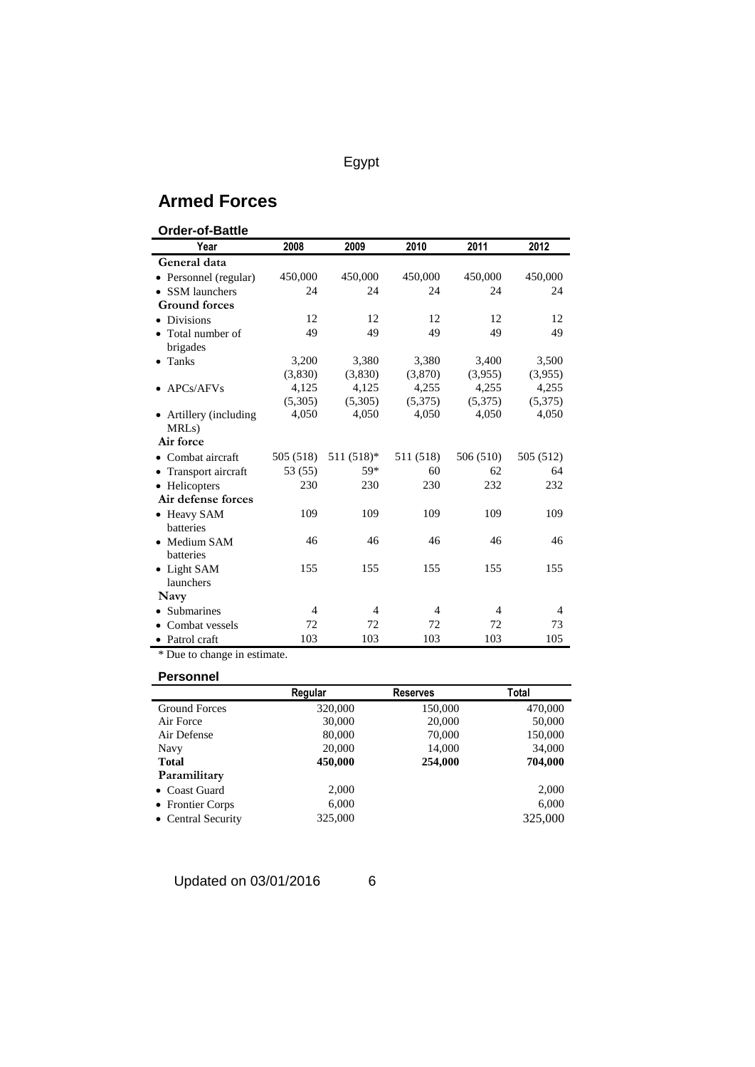## **Armed Forces**

| <b>Order-of-Battle</b>                       |                |                |                |                |                |
|----------------------------------------------|----------------|----------------|----------------|----------------|----------------|
| Year                                         | 2008           | 2009           | 2010           | 2011           | 2012           |
| General data                                 |                |                |                |                |                |
| • Personnel (regular)                        | 450,000        | 450,000        | 450,000        | 450,000        | 450,000        |
| <b>SSM</b> launchers                         | 24             | 24             | 24             | 24             | 24             |
| <b>Ground forces</b>                         |                |                |                |                |                |
| <b>Divisions</b><br>٠                        | 12             | 12             | 12             | 12             | 12             |
| Total number of<br>brigades                  | 49             | 49             | 49             | 49             | 49             |
| $\bullet$ Tanks                              | 3,200          | 3,380          | 3,380          | 3,400          | 3,500          |
|                                              | (3,830)        | (3,830)        | (3,870)        | (3,955)        | (3,955)        |
| APCs/AFVs                                    | 4,125          | 4,125          | 4,255          | 4,255          | 4,255          |
|                                              | (5,305)        | (5,305)        | (5,375)        | (5,375)        | (5,375)        |
| • Artillery (including<br>MRL <sub>s</sub> ) | 4,050          | 4,050          | 4,050          | 4,050          | 4,050          |
| Air force                                    |                |                |                |                |                |
| $\bullet$ Combat aircraft                    | 505 (518)      | $511(518)*$    | 511 (518)      | 506 (510)      | 505 (512)      |
| Transport aircraft                           | 53 (55)        | 59*            | 60             | 62             | 64             |
| Helicopters<br>$\bullet$                     | 230            | 230            | 230            | 232            | 232            |
| Air defense forces                           |                |                |                |                |                |
| • Heavy SAM<br>batteries                     | 109            | 109            | 109            | 109            | 109            |
| • Medium SAM<br>batteries                    | 46             | 46             | 46             | 46             | 46             |
| • Light SAM<br>launchers                     | 155            | 155            | 155            | 155            | 155            |
| Navy                                         |                |                |                |                |                |
| <b>Submarines</b>                            | $\overline{4}$ | $\overline{4}$ | $\overline{4}$ | $\overline{4}$ | $\overline{4}$ |
| Combat vessels                               | 72             | 72             | 72             | 72             | 73             |
| • Patrol craft                               | 103            | 103            | 103            | 103            | 105            |

\* Due to change in estimate.

### **Personnel**

|                      | Regular | <b>Reserves</b> | Total   |
|----------------------|---------|-----------------|---------|
| <b>Ground Forces</b> | 320,000 | 150,000         | 470,000 |
| Air Force            | 30,000  | 20,000          | 50,000  |
| Air Defense          | 80,000  | 70,000          | 150,000 |
| <b>Navy</b>          | 20,000  | 14,000          | 34,000  |
| <b>Total</b>         | 450,000 | 254,000         | 704,000 |
| Paramilitary         |         |                 |         |
| • Coast Guard        | 2,000   |                 | 2,000   |
| • Frontier Corps     | 6,000   |                 | 6,000   |
| • Central Security   | 325,000 |                 | 325,000 |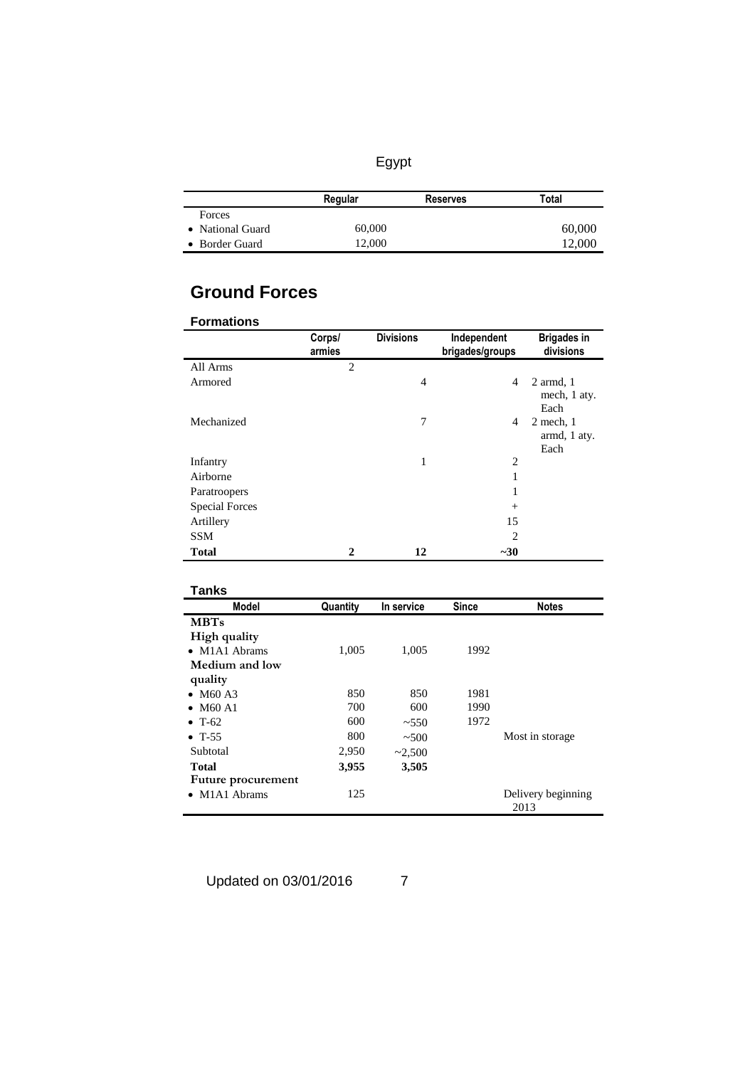|                  | Regular | <b>Reserves</b> | Total  |
|------------------|---------|-----------------|--------|
| Forces           |         |                 |        |
| • National Guard | 60,000  |                 | 60,000 |
| • Border Guard   | 12,000  |                 | 12,000 |

# **Ground Forces**

| <b>Formations</b>     |                  |                  |                                |                                       |
|-----------------------|------------------|------------------|--------------------------------|---------------------------------------|
|                       | Corps/<br>armies | <b>Divisions</b> | Independent<br>brigades/groups | <b>Brigades in</b><br>divisions       |
| All Arms              | $\mathfrak{D}$   |                  |                                |                                       |
| Armored               |                  | $\overline{4}$   | 4                              | $2$ armd, $1$<br>mech, 1 aty.<br>Each |
| Mechanized            |                  | 7                | 4                              | $2$ mech, $1$<br>armd, 1 aty.<br>Each |
| Infantry              |                  | 1                | 2                              |                                       |
| Airborne              |                  |                  | 1                              |                                       |
| Paratroopers          |                  |                  | 1                              |                                       |
| <b>Special Forces</b> |                  |                  | $+$                            |                                       |
| Artillery             |                  |                  | 15                             |                                       |
| <b>SSM</b>            |                  |                  | $\overline{c}$                 |                                       |
| <b>Total</b>          | $\mathbf{2}$     | 12               | $-30$                          |                                       |

| Tanks                                |          |            |              |                            |
|--------------------------------------|----------|------------|--------------|----------------------------|
| <b>Model</b>                         | Quantity | In service | <b>Since</b> | <b>Notes</b>               |
| <b>MBTs</b>                          |          |            |              |                            |
| High quality                         |          |            |              |                            |
| $\bullet$ M1A1 Abrams                | 1,005    | 1,005      | 1992         |                            |
| Medium and low                       |          |            |              |                            |
| quality                              |          |            |              |                            |
| • $M60A3$                            | 850      | 850        | 1981         |                            |
| <b>M60 A1</b><br>$\bullet$           | 700      | 600        | 1990         |                            |
| $\bullet$ T-62                       | 600      | ~1.550     | 1972         |                            |
| $\bullet$ T-55                       | 800      | ~500       |              | Most in storage            |
| Subtotal                             | 2,950    | ~2,500     |              |                            |
| Total                                | 3,955    | 3,505      |              |                            |
| Future procurement                   |          |            |              |                            |
| M <sub>1</sub> A <sub>1</sub> Abrams | 125      |            |              | Delivery beginning<br>2013 |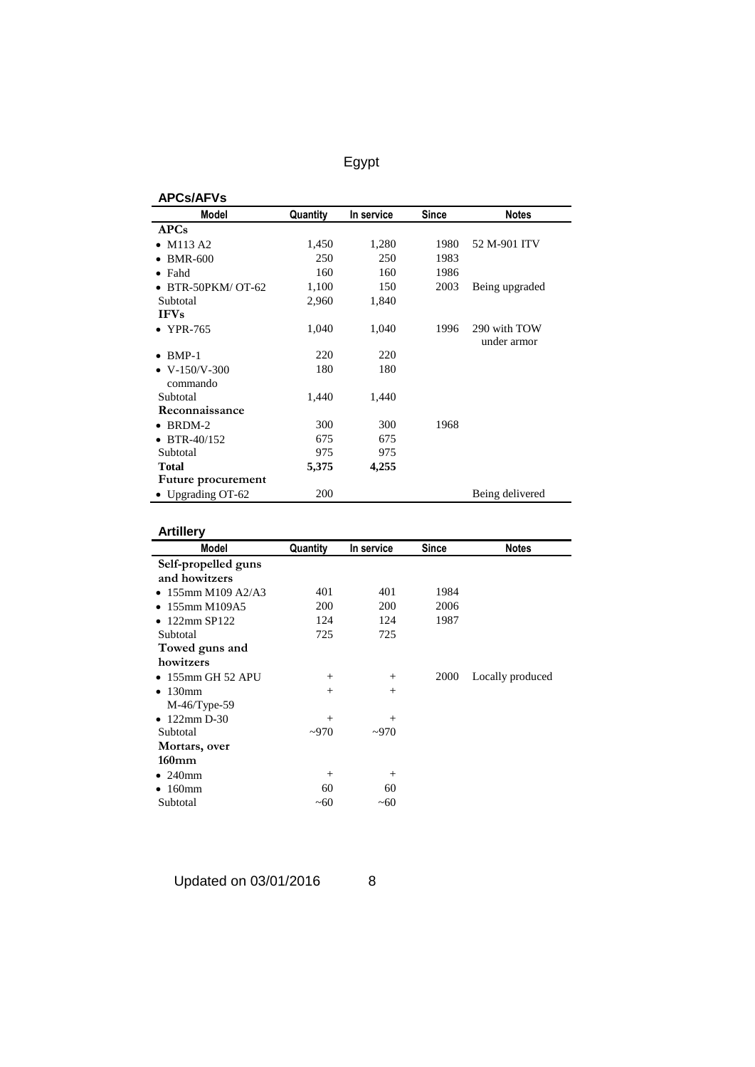| <b>APCs/AFVs</b>      |          |            |       |                 |
|-----------------------|----------|------------|-------|-----------------|
| <b>Model</b>          | Quantity | In service | Since | <b>Notes</b>    |
| <b>APCs</b>           |          |            |       |                 |
| M113 A2               | 1,450    | 1,280      | 1980  | 52 M-901 ITV    |
| <b>BMR-600</b>        | 250      | 250        | 1983  |                 |
| Fahd<br>$\bullet$     | 160      | 160        | 1986  |                 |
| BTR-50PKM/OT-62       | 1,100    | 150        | 2003  | Being upgraded  |
| Subtotal              | 2,960    | 1,840      |       |                 |
| <b>IFVs</b>           |          |            |       |                 |
| <b>YPR-765</b>        | 1,040    | 1,040      | 1996  | 290 with TOW    |
|                       |          |            |       | under armor     |
| $BMP-1$               | 220      | 220        |       |                 |
| $\bullet$ V-150/V-300 | 180      | 180        |       |                 |
| commando              |          |            |       |                 |
| Subtotal              | 1,440    | 1,440      |       |                 |
| Reconnaissance        |          |            |       |                 |
| BRDM-2                | 300      | 300        | 1968  |                 |
| BTR-40/152            | 675      | 675        |       |                 |
| Subtotal              | 975      | 975        |       |                 |
| <b>Total</b>          | 5,375    | 4,255      |       |                 |
| Future procurement    |          |            |       |                 |
| • Upgrading OT-62     | 200      |            |       | Being delivered |

### **Artillery**

| <b>Artillery</b>               |          |            |              |                  |
|--------------------------------|----------|------------|--------------|------------------|
| <b>Model</b>                   | Quantity | In service | <b>Since</b> | <b>Notes</b>     |
| Self-propelled guns            |          |            |              |                  |
| and howitzers                  |          |            |              |                  |
| • 155mm M109 A2/A3             | 401      | 401        | 1984         |                  |
| 155mm M109A5<br>$\bullet$      | 200      | 200        | 2006         |                  |
| 122mm SP122<br>$\bullet$       | 124      | 124        | 1987         |                  |
| Subtotal                       | 725      | 725        |              |                  |
| Towed guns and                 |          |            |              |                  |
| howitzers                      |          |            |              |                  |
| $\bullet$ 155mm GH 52 APU      | $^{+}$   | $^{+}$     | 2000         | Locally produced |
| 130 <sub>mm</sub><br>$\bullet$ | $^{+}$   | $^{+}$     |              |                  |
| $M-46/T$ ype-59                |          |            |              |                  |
| $\bullet$ 122mm D-30           | $^{+}$   | $^{+}$     |              |                  |
| Subtotal                       | $-970$   | $-970$     |              |                  |
| Mortars, over                  |          |            |              |                  |
| $160$ mm                       |          |            |              |                  |
| $\bullet$ 240mm                | $^{+}$   | $^{+}$     |              |                  |
| $160$ mm                       | 60       | 60         |              |                  |
| Subtotal                       | ~10      | ~10        |              |                  |
|                                |          |            |              |                  |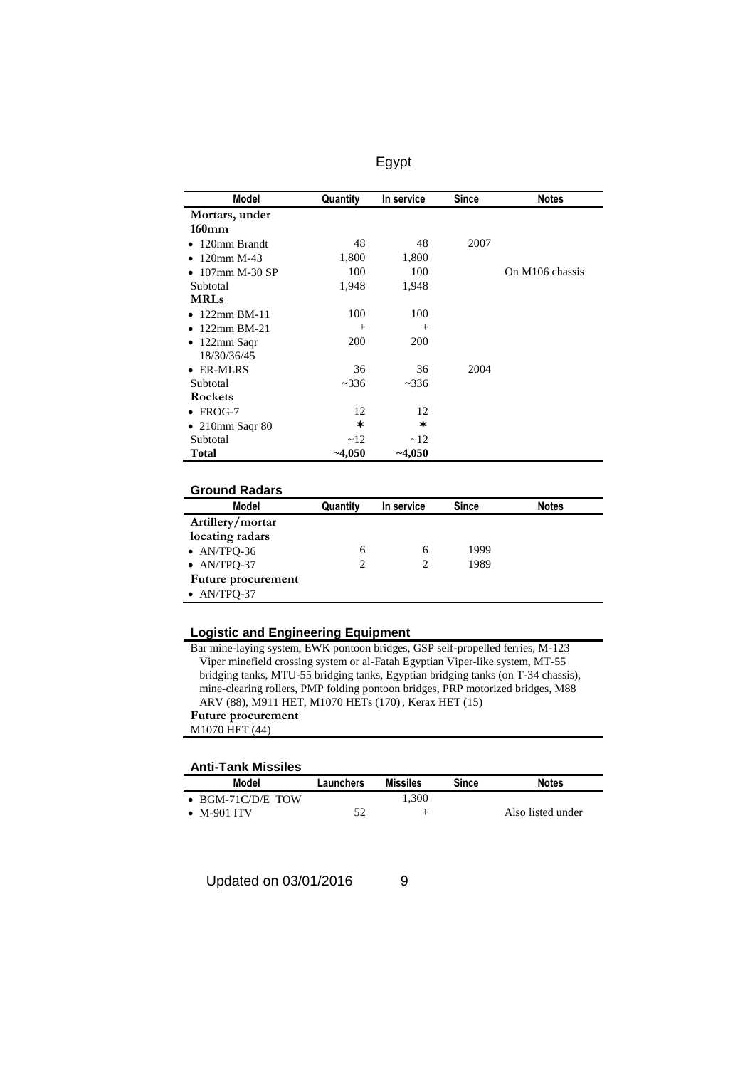| Model                   | Quantity   | In service | <b>Since</b> | <b>Notes</b>    |
|-------------------------|------------|------------|--------------|-----------------|
| Mortars, under          |            |            |              |                 |
| $160 \text{mm}$         |            |            |              |                 |
| 120mm Brandt            | 48         | 48         | 2007         |                 |
| 120mm M-43              | 1,800      | 1,800      |              |                 |
| 107mm M-30 SP           | 100        | 100        |              | On M106 chassis |
| Subtotal                | 1,948      | 1,948      |              |                 |
| <b>MRLs</b>             |            |            |              |                 |
| 122mm BM-11             | 100        | 100        |              |                 |
| 122mm BM-21             | $^{+}$     | $^{+}$     |              |                 |
| 122mm Saqr<br>٠         | <b>200</b> | <b>200</b> |              |                 |
| 18/30/36/45             |            |            |              |                 |
| <b>ER-MLRS</b>          | 36         | 36         | 2004         |                 |
| Subtotal                | ~2336      | ~2336      |              |                 |
| <b>Rockets</b>          |            |            |              |                 |
| FROG-7<br>$\bullet$     | 12         | 12         |              |                 |
| $\bullet$ 210mm Saqr 80 | ∗          | ∗          |              |                 |
| Subtotal                | ~12        | ~12        |              |                 |
| <b>Total</b>            | $-4,050$   | $-4,050$   |              |                 |

| <b>Ground Radars</b> |  |
|----------------------|--|
|                      |  |
|                      |  |

| OI VUITU TYÄVÄI S   |          |            |              |              |
|---------------------|----------|------------|--------------|--------------|
| Model               | Quantity | In service | <b>Since</b> | <b>Notes</b> |
| Artillery/mortar    |          |            |              |              |
| locating radars     |          |            |              |              |
| • $AN/TPQ-36$       | 6        | 6          | 1999         |              |
| $\bullet$ AN/TPQ-37 | 2        |            | 1989         |              |
| Future procurement  |          |            |              |              |
| $\bullet$ AN/TPQ-37 |          |            |              |              |

### **Logistic and Engineering Equipment**

Bar mine-laying system, EWK pontoon bridges, GSP self-propelled ferries, M-123 Viper minefield crossing system or al-Fatah Egyptian Viper-like system, MT-55 bridging tanks, MTU-55 bridging tanks, Egyptian bridging tanks (on T-34 chassis), mine-clearing rollers, PMP folding pontoon bridges, PRP motorized bridges, M88 ARV (88), M911 HET, M1070 HETs (170) , Kerax HET (15) **Future procurement** M1070 HET (44)

#### **Anti-Tank Missiles**

| Model                     | Launchers | Missiles | Since | <b>Notes</b>      |
|---------------------------|-----------|----------|-------|-------------------|
| $\bullet$ BGM-71C/D/E TOW |           | 1.300    |       |                   |
| $\bullet$ M-901 ITV       | 50        | -        |       | Also listed under |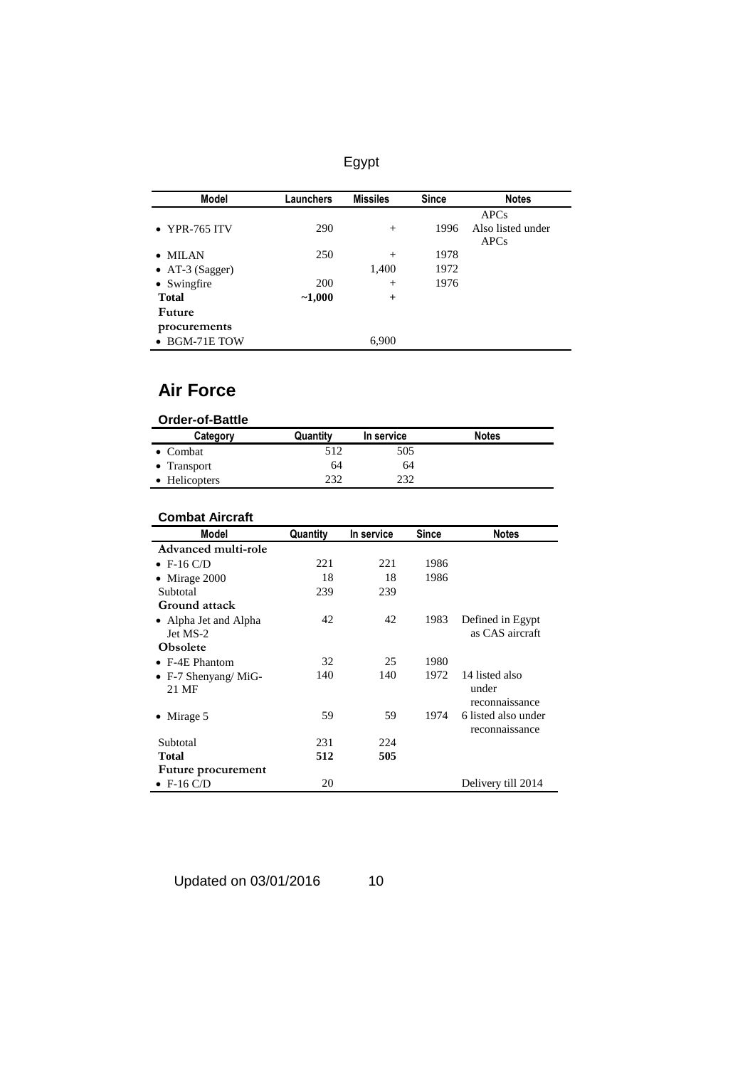|--|

| Model                 | Launchers  | <b>Missiles</b> | <b>Since</b> | <b>Notes</b>      |
|-----------------------|------------|-----------------|--------------|-------------------|
|                       |            |                 |              | <b>APCs</b>       |
| • YPR-765 ITV         | 290        | $^{+}$          | 1996         | Also listed under |
|                       |            |                 |              | <b>APCs</b>       |
| $\bullet$ MILAN       | 250        | $^{+}$          | 1978         |                   |
| • AT-3 (Sagger)       |            | 1,400           | 1972         |                   |
| • Swingfire           | <b>200</b> | $^{+}$          | 1976         |                   |
| <b>Total</b>          | $-1,000$   | $+$             |              |                   |
| Future                |            |                 |              |                   |
| procurements          |            |                 |              |                   |
| $\bullet$ BGM-71E TOW |            | 6,900           |              |                   |

## **Air Force**

| <b>Order-of-Battle</b> |          |            |              |
|------------------------|----------|------------|--------------|
| Category               | Quantity | In service | <b>Notes</b> |
| $\bullet$ Combat       | 512      | 505        |              |
| $\bullet$ Transport    | 64       | 64         |              |
| • Helicopters          | 232      | 232        |              |

### **Combat Aircraft**

| <b>Model</b>             | Quantity | In service | <b>Since</b> | <b>Notes</b>        |
|--------------------------|----------|------------|--------------|---------------------|
| Advanced multi-role      |          |            |              |                     |
| $\bullet$ F-16 C/D       | 221      | 221        | 1986         |                     |
| Mirage 2000<br>$\bullet$ | 18       | 18         | 1986         |                     |
| Subtotal                 | 239      | 239        |              |                     |
| Ground attack            |          |            |              |                     |
| • Alpha Jet and Alpha    | 42       | 42         | 1983         | Defined in Egypt    |
| Jet MS-2                 |          |            |              | as CAS aircraft     |
| <b>Obsolete</b>          |          |            |              |                     |
| $\bullet$ F-4E Phantom   | 32       | 25         | 1980         |                     |
| • F-7 Shenyang/MiG-      | 140      | 140        | 1972         | 14 listed also      |
| 21 MF                    |          |            |              | under               |
|                          |          |            |              | reconnaissance      |
| Mirage 5                 | 59       | 59         | 1974         | 6 listed also under |
|                          |          |            |              | reconnaissance      |
| Subtotal                 | 231      | 224        |              |                     |
| Total                    | 512      | 505        |              |                     |
| Future procurement       |          |            |              |                     |
| $\bullet$ F-16 C/D       | 20       |            |              | Delivery till 2014  |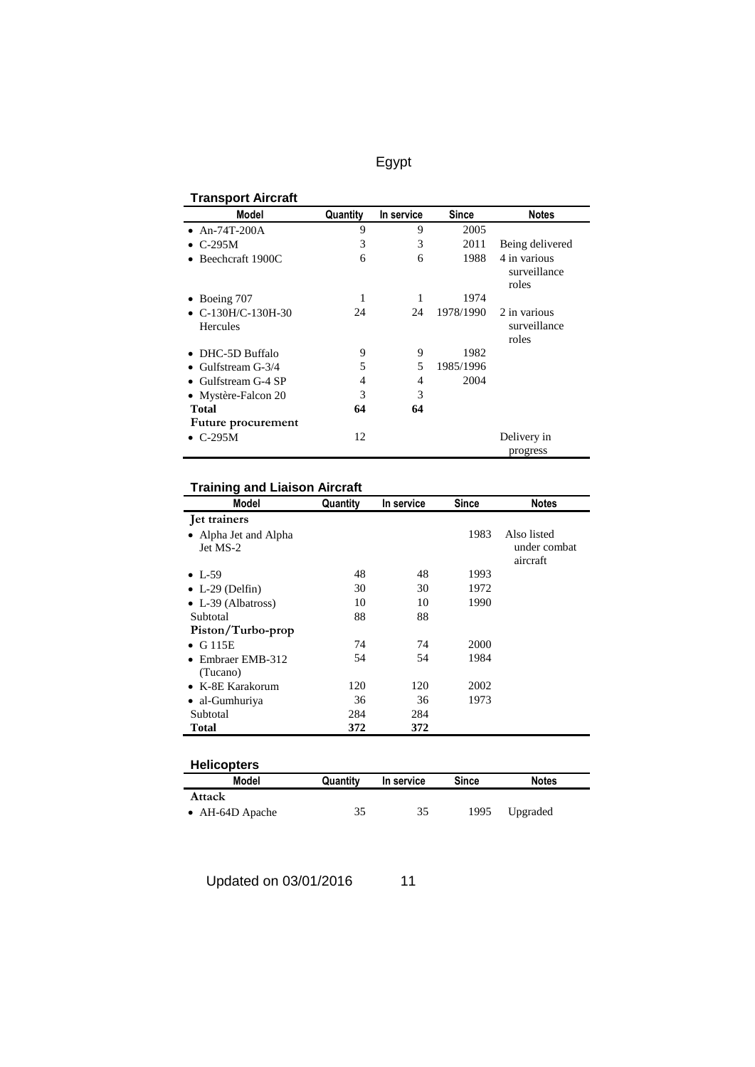| <b>Transport Aircraft</b>                 |          |            |              |                                       |
|-------------------------------------------|----------|------------|--------------|---------------------------------------|
| Model                                     | Quantity | In service | <b>Since</b> | <b>Notes</b>                          |
| • $An-74T-200A$                           | 9        | 9          | 2005         |                                       |
| $\bullet$ C-295M                          | 3        | 3          | 2011         | Being delivered                       |
| Beechcraft 1900C                          | 6        | 6          | 1988         | 4 in various<br>surveillance<br>roles |
| Boeing 707                                | 1        | 1          | 1974         |                                       |
| $\bullet$ C-130H/C-130H-30<br>Hercules    | 24       | 24         | 1978/1990    | 2 in various<br>surveillance<br>roles |
| DHC-5D Buffalo                            | 9        | 9          | 1982         |                                       |
| Gulfstream G-3/4                          | 5        | 5          | 1985/1996    |                                       |
| • Gulfstream G-4 SP                       | 4        | 4          | 2004         |                                       |
| • Mystère-Falcon 20                       | 3        | 3          |              |                                       |
| <b>Total</b><br><b>Future procurement</b> | 64       | 64         |              |                                       |
| $\bullet$ C-295M                          | 12       |            |              | Delivery in<br>progress               |

## **Training and Liaison Aircraft**

| Model                                        | Quantity | In service | Since | <b>Notes</b>                            |
|----------------------------------------------|----------|------------|-------|-----------------------------------------|
| Jet trainers                                 |          |            |       |                                         |
| Alpha Jet and Alpha<br>$\bullet$<br>Jet MS-2 |          |            | 1983  | Also listed<br>under combat<br>aircraft |
| $\bullet$ L-59                               | 48       | 48         | 1993  |                                         |
| $\bullet$ L-29 (Delfin)                      | 30       | 30         | 1972  |                                         |
| • L-39 (Albatross)                           | 10       | 10         | 1990  |                                         |
| Subtotal                                     | 88       | 88         |       |                                         |
| Piston/Turbo-prop                            |          |            |       |                                         |
| G 115E<br>$\bullet$                          | 74       | 74         | 2000  |                                         |
| Embraer EMB-312<br>(Tucano)                  | 54       | 54         | 1984  |                                         |
| $\bullet$ K-8E Karakorum                     | 120      | 120        | 2002  |                                         |
| • al-Gumhuriya                               | 36       | 36         | 1973  |                                         |
| Subtotal                                     | 284      | 284        |       |                                         |
| <b>Total</b>                                 | 372      | 372        |       |                                         |

| <b>Helicopters</b> |          |            |       |              |  |
|--------------------|----------|------------|-------|--------------|--|
| Model              | Quantity | In service | Since | <b>Notes</b> |  |
| Attack             |          |            |       |              |  |
| • $AH-64D$ Apache  | 35       | 35         | 1995  | Upgraded     |  |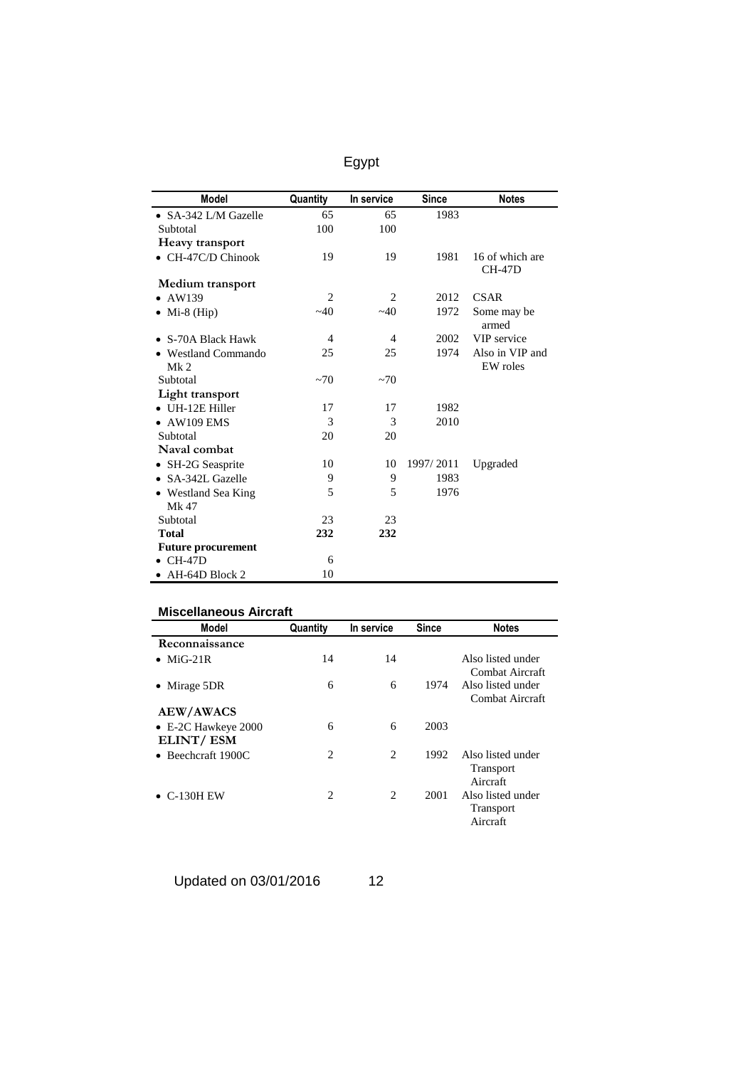| <b>Model</b>              | Quantity       | In service     | <b>Since</b> | <b>Notes</b>         |
|---------------------------|----------------|----------------|--------------|----------------------|
| • SA-342 L/M Gazelle      | 65             | 65             | 1983         |                      |
| Subtotal                  |                | 100            |              |                      |
|                           | 100            |                |              |                      |
| Heavy transport           |                |                |              | 16 of which are      |
| • CH-47C/D Chinook        | 19             | 19             | 1981         | $CH-47D$             |
| Medium transport          |                |                |              |                      |
| $\bullet$ AW139           | $\overline{2}$ | 2              | 2012         | <b>CSAR</b>          |
| $\bullet$ Mi-8 (Hip)      | $-40$          | $-40$          | 1972         | Some may be<br>armed |
| • S-70A Black Hawk        | $\overline{4}$ | $\overline{4}$ | 2002         | VIP service          |
| • Westland Commando       | 25             | 25             | 1974         | Also in VIP and      |
| Mk <sub>2</sub>           |                |                |              | EW roles             |
| Subtotal                  | $~1$ $~0$      | ~1             |              |                      |
| Light transport           |                |                |              |                      |
| $\bullet$ UH-12E Hiller   | 17             | 17             | 1982         |                      |
| $\bullet$ AW109 EMS       | 3              | 3              | 2010         |                      |
| Subtotal                  | 20             | 20             |              |                      |
| Naval combat              |                |                |              |                      |
| • SH-2G Seasprite         | 10             | 10             | 1997/2011    | Upgraded             |
| • SA-342L Gazelle         | 9              | 9              | 1983         |                      |
| • Westland Sea King       | 5              | 5              | 1976         |                      |
| Mk 47                     |                |                |              |                      |
| Subtotal                  | 23             | 23             |              |                      |
| <b>Total</b>              | 232            | 232            |              |                      |
| <b>Future procurement</b> |                |                |              |                      |
| $\bullet$ CH-47D          | 6              |                |              |                      |
| $\bullet$ AH-64D Block 2  | 10             |                |              |                      |

| Model                       | Quantity       | In service     | <b>Since</b> | <b>Notes</b>                                      |
|-----------------------------|----------------|----------------|--------------|---------------------------------------------------|
| Reconnaissance              |                |                |              |                                                   |
| $MiG-21R$                   | 14             | 14             |              | Also listed under<br>Combat Aircraft              |
| Mirage 5DR                  | 6              | 6              | 1974         | Also listed under<br>Combat Aircraft              |
| <b>AEW/AWACS</b>            |                |                |              |                                                   |
| $\bullet$ E-2C Hawkeye 2000 | 6              | 6              | 2003         |                                                   |
| ELINT/ESM                   |                |                |              |                                                   |
| $\bullet$ Beechcraft 1900C  | $\overline{c}$ | $\overline{c}$ | 1992         | Also listed under<br><b>Transport</b><br>Aircraft |
| $\bullet$ C-130H EW         | 2              | $\overline{c}$ | 2001         | Also listed under<br><b>Transport</b><br>Aircraft |

Updated on 03/01/2016 12

Egypt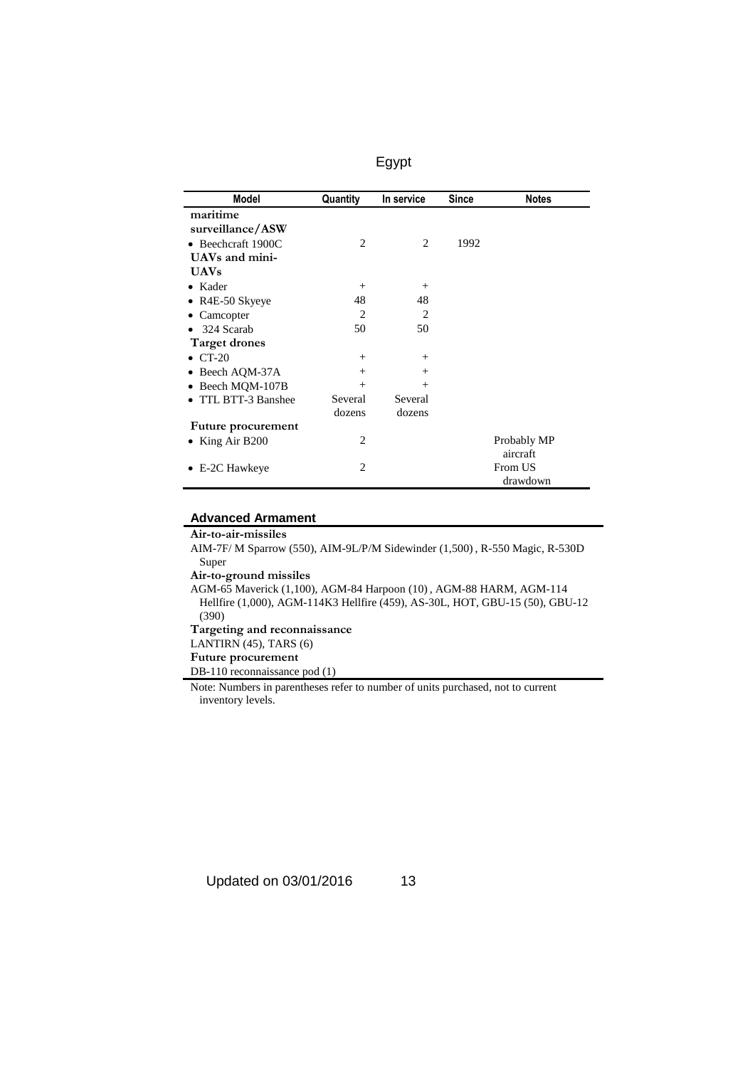| <b>Model</b>         | Quantity       | In service     | <b>Since</b> | <b>Notes</b> |
|----------------------|----------------|----------------|--------------|--------------|
| maritime             |                |                |              |              |
| surveillance/ASW     |                |                |              |              |
| • Beechcraft 1900C   | 2              | 2              | 1992         |              |
| UAVs and mini-       |                |                |              |              |
| <b>UAVs</b>          |                |                |              |              |
| Kader<br>$\bullet$   | $^{+}$         | $^{+}$         |              |              |
| • R4E-50 Skyeye      | 48             | 48             |              |              |
| Camcopter            | 2              | $\overline{2}$ |              |              |
| 324 Scarab           | 50             | 50             |              |              |
| <b>Target drones</b> |                |                |              |              |
| $\bullet$ CT-20      | $^{+}$         | $^{+}$         |              |              |
| • Beech AQM-37A      | $^{+}$         | $^{+}$         |              |              |
| • Beech MQM-107B     | $^{+}$         | $^{+}$         |              |              |
| TTL BTT-3 Banshee    | Several        | Several        |              |              |
|                      | dozens         | dozens         |              |              |
| Future procurement   |                |                |              |              |
| King Air B200        | 2              |                |              | Probably MP  |
|                      |                |                |              | aircraft     |
| E-2C Hawkeye         | $\overline{c}$ |                |              | From US      |
|                      |                |                |              | drawdown     |

#### **Advanced Armament**

**Air-to-air-missiles** AIM-7F/ M Sparrow (550), AIM-9L/P/M Sidewinder (1,500) , R-550 Magic, R-530D Super **Air-to-ground missiles** AGM-65 Maverick (1,100), AGM-84 Harpoon (10) , AGM-88 HARM, AGM-114 Hellfire (1,000), AGM-114K3 Hellfire (459), AS-30L, HOT, GBU-15 (50), GBU-12 (390) **Targeting and reconnaissance** LANTIRN (45), TARS (6) **Future procurement** DB-110 reconnaissance pod (1) Note: Numbers in parentheses refer to number of units purchased, not to current inventory levels.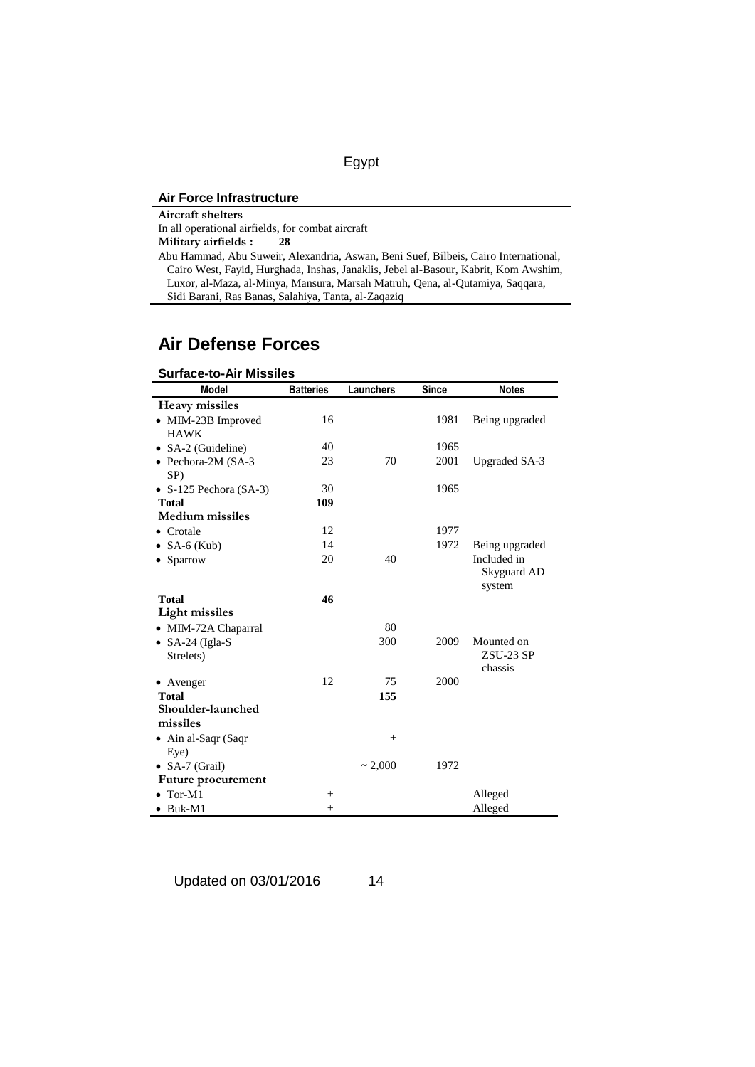|--|--|

### **Air Force Infrastructure**

| Aircraft shelters                                                                   |
|-------------------------------------------------------------------------------------|
| In all operational airfields, for combat aircraft                                   |
| Military airfields :<br>28                                                          |
| Abu Hammad, Abu Suweir, Alexandria, Aswan, Beni Suef, Bilbeis, Cairo International, |
| Cairo West, Fayid, Hurghada, Inshas, Janaklis, Jebel al-Basour, Kabrit, Kom Awshim, |
| Luxor, al-Maza, al-Minya, Mansura, Marsah Matruh, Qena, al-Qutamiya, Saggara,       |
| Sidi Barani, Ras Banas, Salahiya, Tanta, al-Zaqaziq                                 |

## **Air Defense Forces**

| <b>Surface-to-Air Missiles</b> |                  |              |              |                      |
|--------------------------------|------------------|--------------|--------------|----------------------|
| <b>Model</b>                   | <b>Batteries</b> | Launchers    | <b>Since</b> | <b>Notes</b>         |
| <b>Heavy missiles</b>          |                  |              |              |                      |
| • MIM-23B Improved             | 16               |              | 1981         | Being upgraded       |
| <b>HAWK</b>                    |                  |              |              |                      |
| • SA-2 (Guideline)             | 40               |              | 1965         |                      |
| • Pechora-2M $(SA-3)$<br>SP)   | 23               | 70           | 2001         | <b>Upgraded SA-3</b> |
| • $S-125$ Pechora (SA-3)       | 30               |              | 1965         |                      |
| <b>Total</b>                   | 109              |              |              |                      |
| <b>Medium</b> missiles         |                  |              |              |                      |
| $\bullet$ Crotale              | 12               |              | 1977         |                      |
| • SA-6 (Kub)                   | 14               |              | 1972         | Being upgraded       |
| • Sparrow                      | 20               | 40           |              | Included in          |
|                                |                  |              |              | Skyguard AD          |
| <b>Total</b>                   | 46               |              |              | system               |
| Light missiles                 |                  |              |              |                      |
| • MIM-72A Chaparral            |                  | 80           |              |                      |
| $\bullet$ SA-24 (Igla-S        |                  | 300          | 2009         | Mounted on           |
| Strelets)                      |                  |              |              | ZSU-23 SP            |
|                                |                  |              |              | chassis              |
| • Avenger                      | 12               | 75           | 2000         |                      |
| <b>Total</b>                   |                  | 155          |              |                      |
| Shoulder-launched              |                  |              |              |                      |
| missiles                       |                  |              |              |                      |
| • Ain al-Saqr (Saqr            |                  | $^{+}$       |              |                      |
| Eye)                           |                  |              |              |                      |
| • SA-7 (Grail)                 |                  | $\sim 2,000$ | 1972         |                      |
| Future procurement             |                  |              |              |                      |
| Tor-M1                         | $^{+}$           |              |              | Alleged              |
| $\bullet$ Buk-M1               | $+$              |              |              | Alleged              |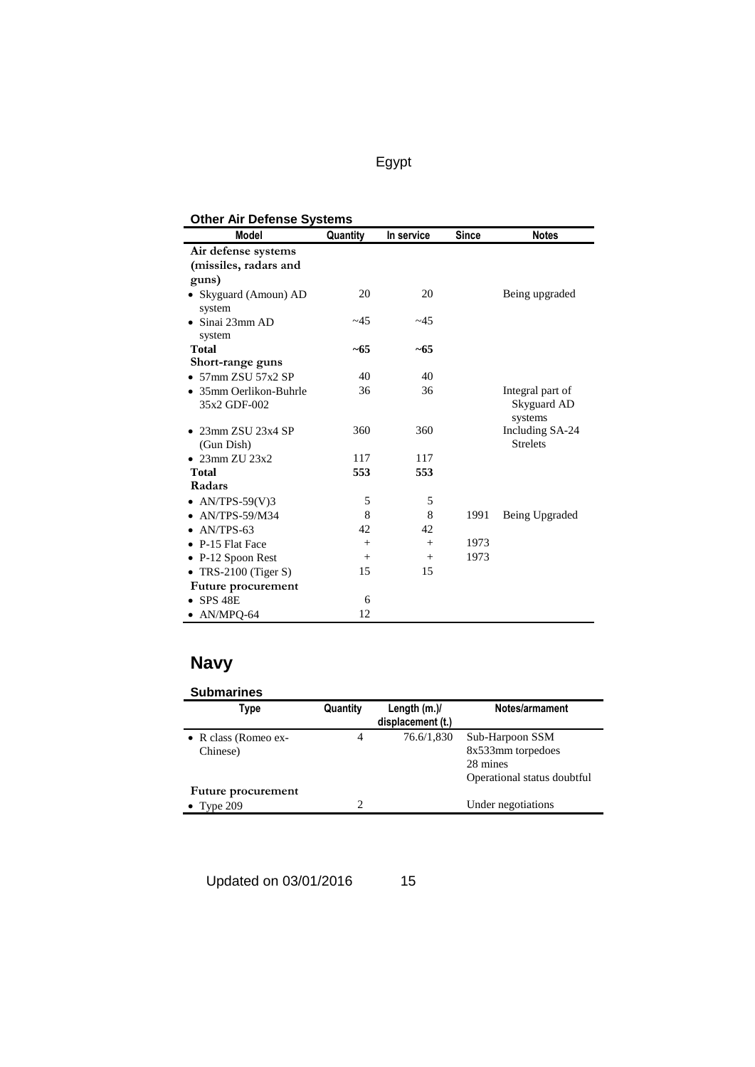### **Other Air Defense Systems**

| Other Air Defense Systems         |          |            |              |                        |
|-----------------------------------|----------|------------|--------------|------------------------|
| <b>Model</b>                      | Quantity | In service | <b>Since</b> | <b>Notes</b>           |
| Air defense systems               |          |            |              |                        |
| (missiles, radars and             |          |            |              |                        |
| guns)                             |          |            |              |                        |
| · Skyguard (Amoun) AD<br>system   | 20       | 20         |              | Being upgraded         |
| $\bullet$ Sinai 23mm AD<br>system | ~145     | ~145       |              |                        |
| <b>Total</b>                      | $~10-65$ | ~5         |              |                        |
| Short-range guns                  |          |            |              |                        |
| $\bullet$ 57mm ZSU 57x2 SP        | 40       | 40         |              |                        |
| • 35mm Oerlikon-Buhrle            | 36       | 36         |              | Integral part of       |
| 35x2 GDF-002                      |          |            |              | Skyguard AD<br>systems |
| $\bullet$ 23mm ZSU 23x4 SP        | 360      | 360        |              | Including SA-24        |
| (Gun Dish)                        |          |            |              | <b>Strelets</b>        |
| $\bullet$ 23mm ZU 23x2            | 117      | 117        |              |                        |
| <b>Total</b>                      | 553      | 553        |              |                        |
| Radars                            |          |            |              |                        |
| • $AN/TPS-59(V)3$                 | 5        | 5          |              |                        |
| $\bullet$ AN/TPS-59/M34           | 8        | 8          | 1991         | Being Upgraded         |
| $\bullet$ AN/TPS-63               | 42       | 42         |              |                        |
| • P-15 Flat Face                  | $^{+}$   | $^{+}$     | 1973         |                        |
| $\bullet$ P-12 Spoon Rest         | $+$      | $+$        | 1973         |                        |
| • TRS-2100 (Tiger S)              | 15       | 15         |              |                        |
| Future procurement                |          |            |              |                        |
| $\bullet$ SPS 48E                 | 6        |            |              |                        |
| $\bullet$ AN/MPO-64               | 12       |            |              |                        |

# **Navy**

| <b>Submarines</b>                        |          |                                     |                                                                                 |
|------------------------------------------|----------|-------------------------------------|---------------------------------------------------------------------------------|
| Type                                     | Quantity | Length $(m.)/$<br>displacement (t.) | Notes/armament                                                                  |
| • R class (Romeo ex-<br>Chinese)         | 4        | 76.6/1,830                          | Sub-Harpoon SSM<br>8x533mm torpedoes<br>28 mines<br>Operational status doubtful |
| Future procurement<br>$\bullet$ Type 209 | ↑        |                                     | Under negotiations                                                              |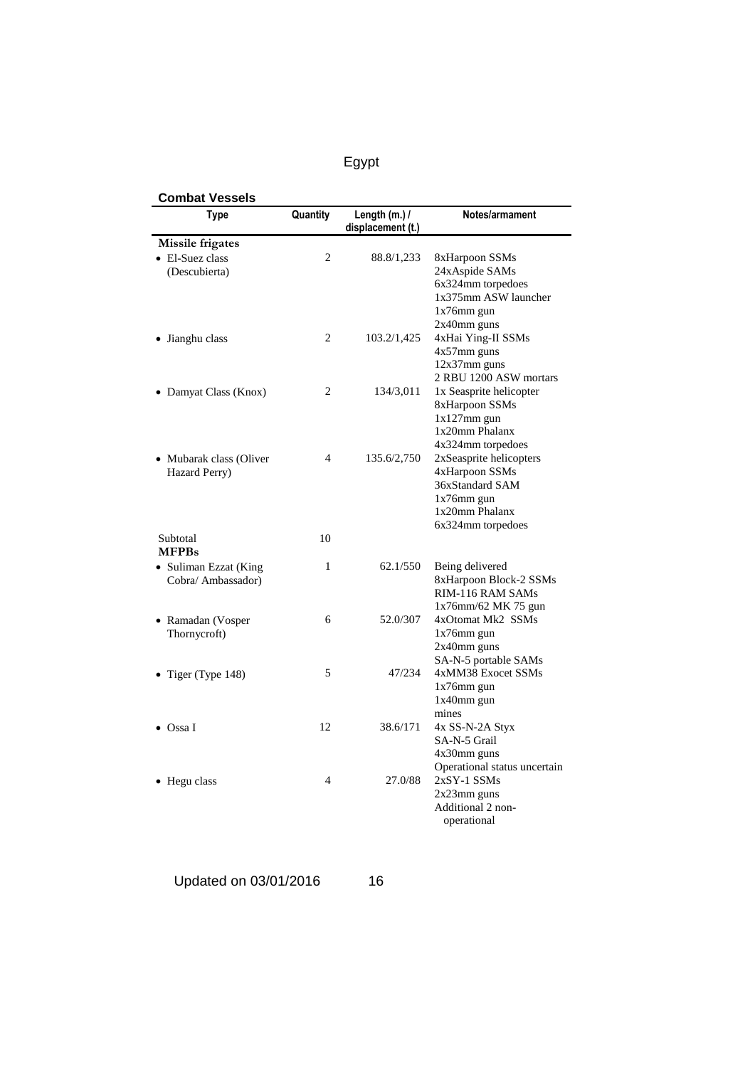| Type                    | Quantity       | Length (m.) /<br>displacement (t.) | Notes/armament                                    |
|-------------------------|----------------|------------------------------------|---------------------------------------------------|
| <b>Missile frigates</b> |                |                                    |                                                   |
| • El-Suez class         | 2              | 88.8/1,233                         | 8xHarpoon SSMs                                    |
| (Descubierta)           |                |                                    | 24xAspide SAMs                                    |
|                         |                |                                    | 6x324mm torpedoes                                 |
|                         |                |                                    | 1x375mm ASW launcher                              |
|                         |                |                                    | $1x76$ mm gun                                     |
|                         |                |                                    | 2x40mm guns                                       |
| Jianghu class           | $\overline{2}$ | 103.2/1,425                        | 4xHai Ying-II SSMs                                |
|                         |                |                                    | $4x57$ mm guns<br>$12x37mm$ guns                  |
|                         |                |                                    |                                                   |
|                         | 2              |                                    | 2 RBU 1200 ASW mortars<br>1x Seasprite helicopter |
| • Damyat Class (Knox)   |                | 134/3,011                          | 8xHarpoon SSMs                                    |
|                         |                |                                    | $1x127mm$ gun                                     |
|                         |                |                                    | 1x20mm Phalanx                                    |
|                         |                |                                    | 4x324mm torpedoes                                 |
| • Mubarak class (Oliver | $\overline{4}$ | 135.6/2,750                        | 2xSeasprite helicopters                           |
| Hazard Perry)           |                |                                    | 4xHarpoon SSMs                                    |
|                         |                |                                    | 36xStandard SAM                                   |
|                         |                |                                    | $1x76$ mm gun                                     |
|                         |                |                                    | 1x20mm Phalanx                                    |
|                         |                |                                    | 6x324mm torpedoes                                 |
| Subtotal                | 10             |                                    |                                                   |
| <b>MFPBs</b>            |                |                                    |                                                   |
| • Suliman Ezzat (King   | 1              | 62.1/550                           | Being delivered                                   |
| Cobra/ Ambassador)      |                |                                    | 8xHarpoon Block-2 SSMs                            |
|                         |                |                                    | RIM-116 RAM SAMs                                  |
|                         |                |                                    | 1x76mm/62 MK 75 gun                               |
| • Ramadan (Vosper       | 6              | 52.0/307                           | 4xOtomat Mk2 SSMs                                 |
| Thornycroft)            |                |                                    | $1x76$ mm gun                                     |
|                         |                |                                    | $2x40$ mm guns                                    |
|                         |                |                                    | SA-N-5 portable SAMs                              |
| • Tiger (Type $148$ )   | 5              | 47/234                             | 4xMM38 Exocet SSMs                                |
|                         |                |                                    | $1x76$ mm gun                                     |
|                         |                |                                    | 1x40mm gun<br>mines                               |
| $\bullet$ Ossa I        | 12             | 38.6/171                           | 4x SS-N-2A Styx                                   |
|                         |                |                                    | SA-N-5 Grail                                      |
|                         |                |                                    | $4x30$ mm guns                                    |
|                         |                |                                    | Operational status uncertain                      |
| • Hegu class            | $\overline{4}$ | 27.0/88                            | $2xSY-1$ SSMs                                     |
|                         |                |                                    | $2x23$ mm guns                                    |
|                         |                |                                    | Additional 2 non-                                 |
|                         |                |                                    | operational                                       |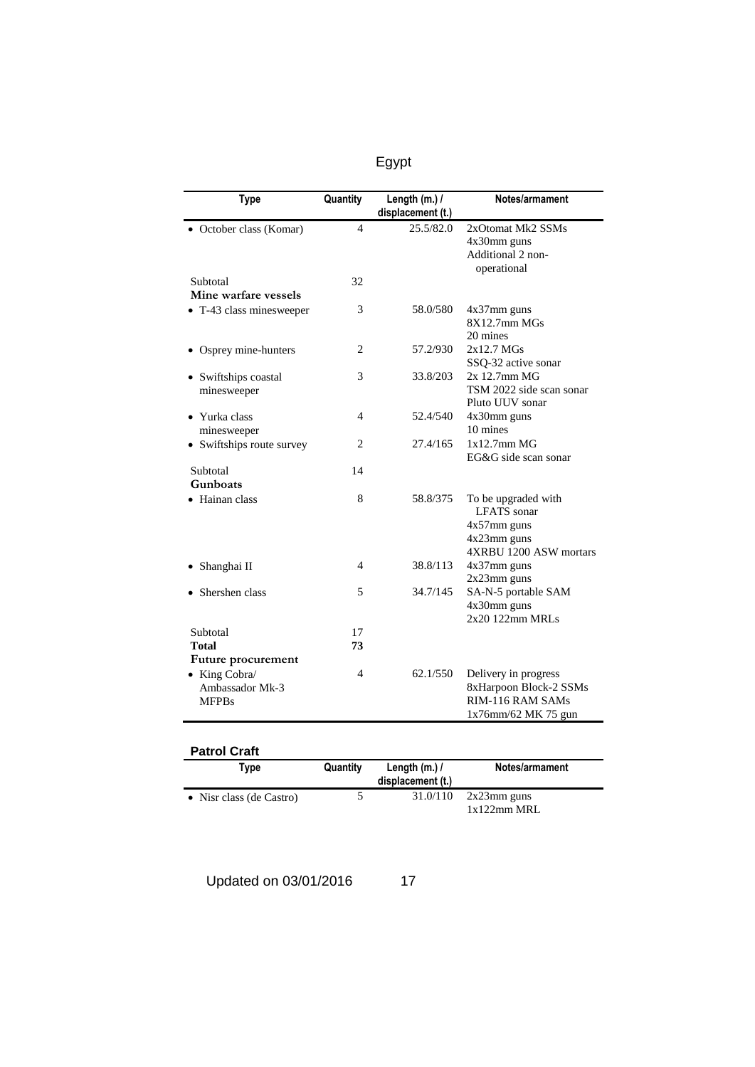|--|--|

| <b>Type</b>               | Quantity                 | Length (m.) /     | Notes/armament           |
|---------------------------|--------------------------|-------------------|--------------------------|
|                           |                          | displacement (t.) |                          |
| October class (Komar)     | 4                        | 25.5/82.0         | 2xOtomat Mk2 SSMs        |
|                           |                          |                   | 4x30mm guns              |
|                           |                          |                   | Additional 2 non-        |
|                           |                          |                   | operational              |
| Subtotal                  | 32                       |                   |                          |
| Mine warfare vessels      |                          |                   |                          |
| • T-43 class minesweeper  | 3                        | 58.0/580          | 4x37mm guns              |
|                           |                          |                   | $8X12.7$ mm M $Gs$       |
|                           |                          |                   | 20 mines                 |
| Osprey mine-hunters       | 2                        | 57.2/930          | $2x12.7$ MGs             |
|                           |                          |                   | SSQ-32 active sonar      |
| • Swiftships coastal      | 3                        | 33.8/203          | 2x 12.7mm MG             |
| minesweeper               |                          |                   | TSM 2022 side scan sonar |
|                           |                          |                   | Pluto UUV sonar          |
| • Yurka class             | 4                        | 52.4/540          | 4x30mm guns              |
| minesweeper               |                          |                   | 10 mines                 |
| • Swiftships route survey | 2                        | 27.4/165          | $1x12.7mm$ MG            |
|                           |                          |                   | EG&G side scan sonar     |
| Subtotal                  | 14                       |                   |                          |
| Gunboats                  |                          |                   |                          |
| Hainan class              | 8                        | 58.8/375          | To be upgraded with      |
|                           |                          |                   | <b>LFATS</b> sonar       |
|                           |                          |                   | $4x57$ mm guns           |
|                           |                          |                   | 4x23mm guns              |
|                           |                          |                   | 4XRBU 1200 ASW mortars   |
| Shanghai II               | 4                        | 38.8/113          | $4x37$ mm guns           |
|                           |                          |                   | $2x23mm$ guns            |
| Shershen class            | 5                        | 34.7/145          | SA-N-5 portable SAM      |
|                           |                          |                   | 4x30mm guns              |
|                           |                          |                   | 2x20 122mm MRLs          |
| Subtotal                  | 17                       |                   |                          |
| Total                     | 73                       |                   |                          |
| Future procurement        |                          |                   |                          |
| • King Cobra/             | $\overline{\mathcal{A}}$ | 62.1/550          | Delivery in progress     |
| Ambassador Mk-3           |                          |                   | 8xHarpoon Block-2 SSMs   |
| <b>MFPBs</b>              |                          |                   | RIM-116 RAM SAMs         |
|                           |                          |                   | $1x76$ mm/62 MK 75 gun   |

| <b>Patrol Craft</b> |      |          |                                     |
|---------------------|------|----------|-------------------------------------|
|                     | Type | Quantity | Length $(m.)/$<br>displacement (t.) |
|                     |      |          | $-1 - 11 - 10$                      |

| • Nisr class (de Castro) |  | $31.0/110$ $2x23$ mm guns |
|--------------------------|--|---------------------------|
|                          |  | $1x122mm$ MRL             |

Updated on 03/01/2016 17

**Notes/armament**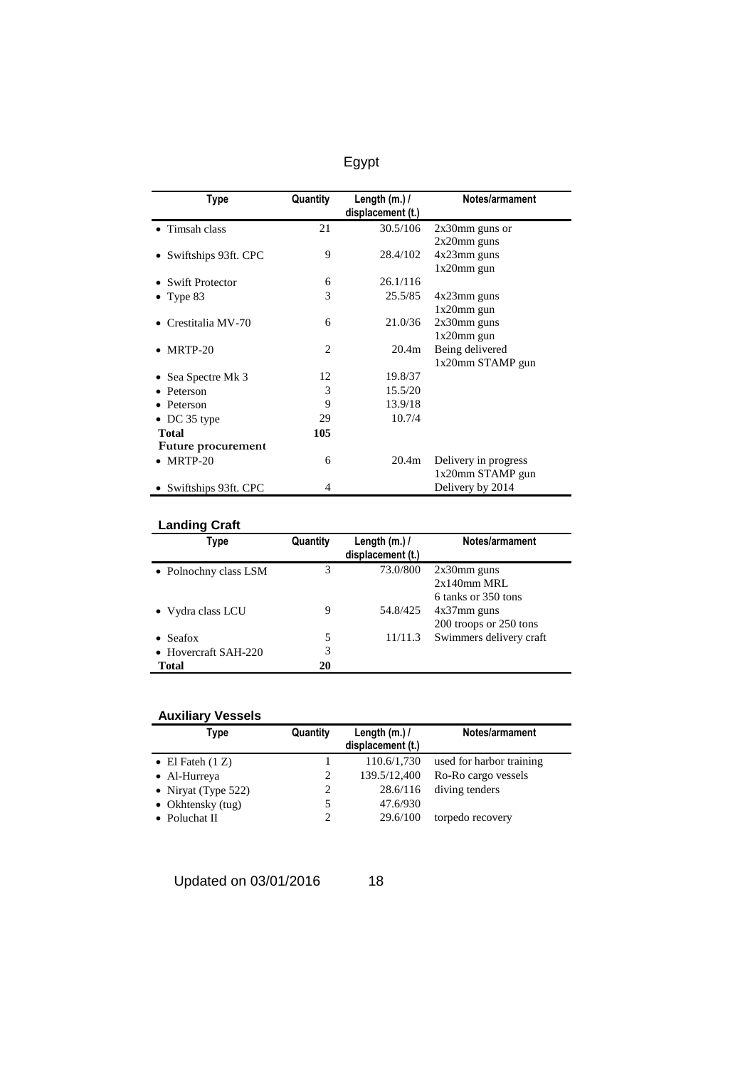| Type                   | Quantity       | Length $(m.)/$<br>displacement (t.) | Notes/armament       |
|------------------------|----------------|-------------------------------------|----------------------|
| • Timsah class         | 21             | 30.5/106                            | $2x30$ mm guns or    |
|                        |                |                                     | $2x20$ mm guns       |
| • Swiftships 93ft. CPC | 9              | 28.4/102                            | $4x23$ mm guns       |
|                        |                |                                     | $1x20$ mm gun        |
| Swift Protector        | 6              | 26.1/116                            |                      |
| Type 83                | 3              | 25.5/85                             | $4x23$ mm guns       |
|                        |                |                                     | $1x20$ mm gun        |
| Crestitalia MV-70      | 6              | 21.0/36                             | $2x30$ mm guns       |
|                        |                |                                     | $1x20$ mm gun        |
| MRTP-20                | $\overline{c}$ | 20.4 <sub>m</sub>                   | Being delivered      |
|                        |                |                                     | 1x20mm STAMP gun     |
| • Sea Spectre Mk 3     | 12             | 19.8/37                             |                      |
| Peterson               | 3              | 15.5/20                             |                      |
| • Peterson             | 9              | 13.9/18                             |                      |
| • DC 35 type           | 29             | 10.7/4                              |                      |
| <b>Total</b>           | 105            |                                     |                      |
| Future procurement     |                |                                     |                      |
| $\bullet$ MRTP-20      | 6              | 20.4m                               | Delivery in progress |
|                        |                |                                     | 1x20mm STAMP gun     |
| • Swiftships 93ft. CPC | 4              |                                     | Delivery by 2014     |

## **Landing Craft**

| Type                  | Quantity | Length $(m.)/$<br>displacement (t.) | Notes/armament          |
|-----------------------|----------|-------------------------------------|-------------------------|
| • Polnochny class LSM | 3        | 73.0/800                            | $2x30$ mm guns          |
|                       |          |                                     | $2x140$ mm MRL          |
|                       |          |                                     | 6 tanks or 350 tons     |
| • Vydra class LCU     | 9        | 54.8/425                            | $4x37$ mm guns          |
|                       |          |                                     | 200 troops or 250 tons  |
| Seafox                | 5        | 11/11.3                             | Swimmers delivery craft |
| • Hovercraft SAH-220  | 3        |                                     |                         |
| Total                 | 20       |                                     |                         |

## **Auxiliary Vessels**

| Type                   | Quantity | Length $(m.)/$<br>displacement (t.) | Notes/armament           |
|------------------------|----------|-------------------------------------|--------------------------|
| • El Fateh $(1 Z)$     |          | 110.6/1,730                         | used for harbor training |
| • Al-Hurreya           |          | 139.5/12,400                        | Ro-Ro cargo vessels      |
| • Niryat (Type $522$ ) | 2        | 28.6/116                            | diving tenders           |
| • Okhtensky (tug)      |          | 47.6/930                            |                          |
| • Poluchat II          |          | 29.6/100                            | torpedo recovery         |